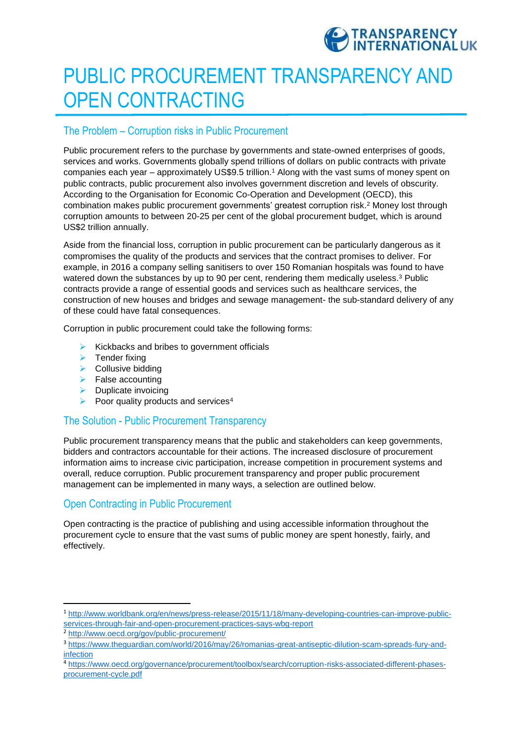

# PUBLIC PROCUREMENT TRANSPARENCY AND OPEN CONTRACTING

## The Problem – Corruption risks in Public Procurement

Public procurement refers to the purchase by governments and state-owned enterprises of goods, services and works. Governments globally spend trillions of dollars on public contracts with private companies each year – approximately US\$9.5 trillion.<sup>1</sup> Along with the vast sums of money spent on public contracts, public procurement also involves government discretion and levels of obscurity. According to the Organisation for Economic Co-Operation and Development (OECD), this combination makes public procurement governments' greatest corruption risk.<sup>2</sup> Money lost through corruption amounts to between 20-25 per cent of the global procurement budget, which is around US\$2 trillion annually.

Aside from the financial loss, corruption in public procurement can be particularly dangerous as it compromises the quality of the products and services that the contract promises to deliver. For example, in 2016 a company selling sanitisers to over 150 Romanian hospitals was found to have watered down the substances by up to 90 per cent, rendering them medically useless.<sup>3</sup> Public contracts provide a range of essential goods and services such as healthcare services, the construction of new houses and bridges and sewage management- the sub-standard delivery of any of these could have fatal consequences.

Corruption in public procurement could take the following forms:

- $\triangleright$  Kickbacks and bribes to government officials
- $\blacktriangleright$  Tender fixing
- $\triangleright$  Collusive bidding
- $\blacktriangleright$  False accounting
- $\triangleright$  Duplicate invoicing
- Poor quality products and services<sup>4</sup>

## The Solution - Public Procurement Transparency

Public procurement transparency means that the public and stakeholders can keep governments, bidders and contractors accountable for their actions. The increased disclosure of procurement information aims to increase civic participation, increase competition in procurement systems and overall, reduce corruption. Public procurement transparency and proper public procurement management can be implemented in many ways, a selection are outlined below.

## Open Contracting in Public Procurement

Open contracting is the practice of publishing and using accessible information throughout the procurement cycle to ensure that the vast sums of public money are spent honestly, fairly, and effectively.

 $\overline{a}$ 

<sup>1</sup> [http://www.worldbank.org/en/news/press-release/2015/11/18/many-developing-countries-can-improve-public](http://www.worldbank.org/en/news/press-release/2015/11/18/many-developing-countries-can-improve-public-services-through-fair-and-open-procurement-practices-says-wbg-report)[services-through-fair-and-open-procurement-practices-says-wbg-report](http://www.worldbank.org/en/news/press-release/2015/11/18/many-developing-countries-can-improve-public-services-through-fair-and-open-procurement-practices-says-wbg-report)

<sup>2</sup> <http://www.oecd.org/gov/public-procurement/>

<sup>3</sup> [https://www.theguardian.com/world/2016/may/26/romanias-great-antiseptic-dilution-scam-spreads-fury-and](https://www.theguardian.com/world/2016/may/26/romanias-great-antiseptic-dilution-scam-spreads-fury-and-infection)[infection](https://www.theguardian.com/world/2016/may/26/romanias-great-antiseptic-dilution-scam-spreads-fury-and-infection)

<sup>4</sup> [https://www.oecd.org/governance/procurement/toolbox/search/corruption-risks-associated-different-phases](https://www.oecd.org/governance/procurement/toolbox/search/corruption-risks-associated-different-phases-procurement-cycle.pdf)[procurement-cycle.pdf](https://www.oecd.org/governance/procurement/toolbox/search/corruption-risks-associated-different-phases-procurement-cycle.pdf)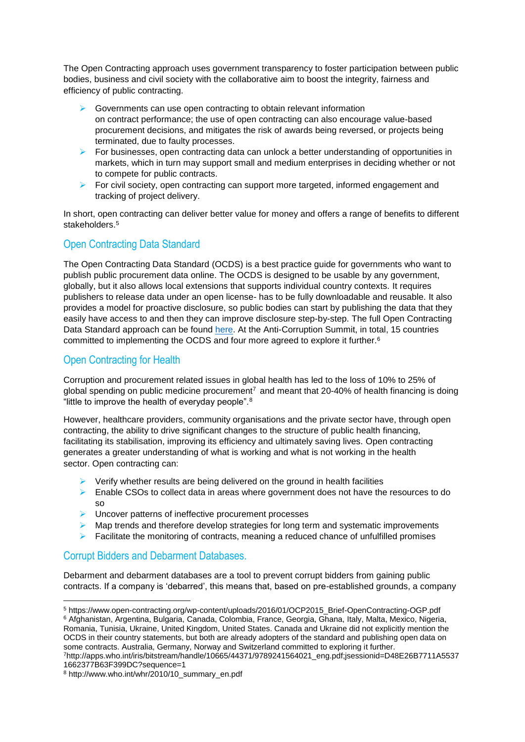The Open Contracting approach uses government transparency to foster participation between public bodies, business and civil society with the collaborative aim to boost the integrity, fairness and efficiency of public contracting.

- $\triangleright$  Governments can use open contracting to obtain relevant information on contract performance; the use of open contracting can also encourage value-based procurement decisions, and mitigates the risk of awards being reversed, or projects being terminated, due to faulty processes.
- $\triangleright$  For businesses, open contracting data can unlock a better understanding of opportunities in markets, which in turn may support small and medium enterprises in deciding whether or not to compete for public contracts.
- $\triangleright$  For civil society, open contracting can support more targeted, informed engagement and tracking of project delivery.

In short, open contracting can deliver better value for money and offers a range of benefits to different stakeholders.<sup>5</sup>

### Open Contracting Data Standard

The Open Contracting Data Standard (OCDS) is a best practice guide for governments who want to publish public procurement data online. The OCDS is designed to be usable by any government, globally, but it also allows local extensions that supports individual country contexts. It requires publishers to release data under an open license- has to be fully downloadable and reusable. It also provides a model for proactive disclosure, so public bodies can start by publishing the data that they easily have access to and then they can improve disclosure step-by-step. The full Open Contracting Data Standard approach can be found [here.](http://standard.open-contracting.org/latest/en/) At the Anti-Corruption Summit, in total, 15 countries committed to implementing the OCDS and four more agreed to explore it further.<sup>6</sup>

## Open Contracting for Health

Corruption and procurement related issues in global health has led to the loss of 10% to 25% of global spending on public medicine procurement<sup>7</sup> and meant that 20-40% of health financing is doing "little to improve the health of everyday people".<sup>8</sup>

However, healthcare providers, community organisations and the private sector have, through open contracting, the ability to drive significant changes to the structure of public health financing, facilitating its stabilisation, improving its efficiency and ultimately saving lives. Open contracting generates a greater understanding of what is working and what is not working in the health sector. Open contracting can:

- $\triangleright$  Verify whether results are being delivered on the ground in health facilities
- $\triangleright$  Enable CSOs to collect data in areas where government does not have the resources to do so
- $\triangleright$  Uncover patterns of ineffective procurement processes
- $\triangleright$  Map trends and therefore develop strategies for long term and systematic improvements
- $\triangleright$  Facilitate the monitoring of contracts, meaning a reduced chance of unfulfilled promises

## Corrupt Bidders and Debarment Databases.

Debarment and debarment databases are a tool to prevent corrupt bidders from gaining public contracts. If a company is 'debarred', this means that, based on pre-established grounds, a company

**<sup>.</sup>** <sup>5</sup> https://www.open-contracting.org/wp-content/uploads/2016/01/OCP2015\_Brief-OpenContracting-OGP.pdf <sup>6</sup> Afghanistan, Argentina, Bulgaria, Canada, Colombia, France, Georgia, Ghana, Italy, Malta, Mexico, Nigeria, Romania, Tunisia, Ukraine, United Kingdom, United States. Canada and Ukraine did not explicitly mention the OCDS in their country statements, but both are already adopters of the standard and publishing open data on some contracts. Australia, Germany, Norway and Switzerland committed to exploring it further. <sup>7</sup>http://apps.who.int/iris/bitstream/handle/10665/44371/9789241564021\_eng.pdf;jsessionid=D48E26B7711A5537

<sup>1662377</sup>B63F399DC?sequence=1

<sup>8</sup> http://www.who.int/whr/2010/10\_summary\_en.pdf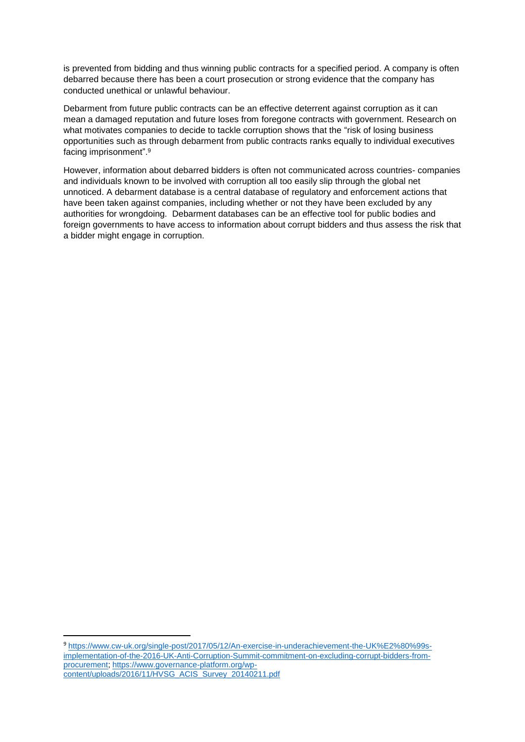is prevented from bidding and thus winning public contracts for a specified period. A company is often debarred because there has been a court prosecution or strong evidence that the company has conducted unethical or unlawful behaviour.

Debarment from future public contracts can be an effective deterrent against corruption as it can mean a damaged reputation and future loses from foregone contracts with government. Research on what motivates companies to decide to tackle corruption shows that the "risk of losing business opportunities such as through debarment from public contracts ranks equally to individual executives facing imprisonment". 9

However, information about debarred bidders is often not communicated across countries- companies and individuals known to be involved with corruption all too easily slip through the global net unnoticed. A debarment database is a central database of regulatory and enforcement actions that have been taken against companies, including whether or not they have been excluded by any authorities for wrongdoing. Debarment databases can be an effective tool for public bodies and foreign governments to have access to information about corrupt bidders and thus assess the risk that a bidder might engage in corruption.

<sup>9</sup> [https://www.cw-uk.org/single-post/2017/05/12/An-exercise-in-underachievement-the-UK%E2%80%99s](https://www.cw-uk.org/single-post/2017/05/12/An-exercise-in-underachievement-the-UK%E2%80%99s-implementation-of-the-2016-UK-Anti-Corruption-Summit-commitment-on-excluding-corrupt-bidders-from-procurement)[implementation-of-the-2016-UK-Anti-Corruption-Summit-commitment-on-excluding-corrupt-bidders-from](https://www.cw-uk.org/single-post/2017/05/12/An-exercise-in-underachievement-the-UK%E2%80%99s-implementation-of-the-2016-UK-Anti-Corruption-Summit-commitment-on-excluding-corrupt-bidders-from-procurement)[procurement;](https://www.cw-uk.org/single-post/2017/05/12/An-exercise-in-underachievement-the-UK%E2%80%99s-implementation-of-the-2016-UK-Anti-Corruption-Summit-commitment-on-excluding-corrupt-bidders-from-procurement) [https://www.governance-platform.org/wp](https://www.governance-platform.org/wp-content/uploads/2016/11/HVSG_ACIS_Survey_20140211.pdf)[content/uploads/2016/11/HVSG\\_ACIS\\_Survey\\_20140211.pdf](https://www.governance-platform.org/wp-content/uploads/2016/11/HVSG_ACIS_Survey_20140211.pdf)

1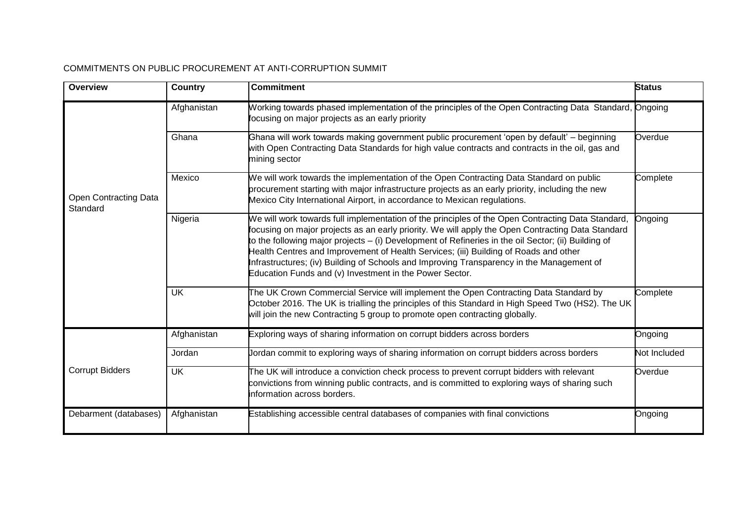#### COMMITMENTS ON PUBLIC PROCUREMENT AT ANTI-CORRUPTION SUMMIT

| <b>Overview</b>                          | Country     | <b>Commitment</b>                                                                                                                                                                                                                                                                                                                                                                                                                                                                                                                                             | <b>Status</b> |
|------------------------------------------|-------------|---------------------------------------------------------------------------------------------------------------------------------------------------------------------------------------------------------------------------------------------------------------------------------------------------------------------------------------------------------------------------------------------------------------------------------------------------------------------------------------------------------------------------------------------------------------|---------------|
| <b>Open Contracting Data</b><br>Standard | Afghanistan | Working towards phased implementation of the principles of the Open Contracting Data Standard, Ongoing<br>focusing on major projects as an early priority                                                                                                                                                                                                                                                                                                                                                                                                     |               |
|                                          | Ghana       | Ghana will work towards making government public procurement 'open by default' - beginning<br>with Open Contracting Data Standards for high value contracts and contracts in the oil, gas and<br>mining sector                                                                                                                                                                                                                                                                                                                                                | Overdue       |
|                                          | Mexico      | We will work towards the implementation of the Open Contracting Data Standard on public<br>procurement starting with major infrastructure projects as an early priority, including the new<br>Mexico City International Airport, in accordance to Mexican regulations.                                                                                                                                                                                                                                                                                        | Complete      |
|                                          | Nigeria     | We will work towards full implementation of the principles of the Open Contracting Data Standard,<br>focusing on major projects as an early priority. We will apply the Open Contracting Data Standard<br>to the following major projects - (i) Development of Refineries in the oil Sector; (ii) Building of<br>Health Centres and Improvement of Health Services; (iii) Building of Roads and other<br>Infrastructures; (iv) Building of Schools and Improving Transparency in the Management of<br>Education Funds and (v) Investment in the Power Sector. | Ongoing       |
|                                          | <b>UK</b>   | The UK Crown Commercial Service will implement the Open Contracting Data Standard by<br>October 2016. The UK is trialling the principles of this Standard in High Speed Two (HS2). The UK<br>will join the new Contracting 5 group to promote open contracting globally.                                                                                                                                                                                                                                                                                      | Complete      |
| <b>Corrupt Bidders</b>                   | Afghanistan | Exploring ways of sharing information on corrupt bidders across borders                                                                                                                                                                                                                                                                                                                                                                                                                                                                                       | Ongoing       |
|                                          | Jordan      | Jordan commit to exploring ways of sharing information on corrupt bidders across borders                                                                                                                                                                                                                                                                                                                                                                                                                                                                      | Not Included  |
|                                          | <b>UK</b>   | The UK will introduce a conviction check process to prevent corrupt bidders with relevant<br>convictions from winning public contracts, and is committed to exploring ways of sharing such<br>information across borders.                                                                                                                                                                                                                                                                                                                                     | Overdue       |
| Debarment (databases)                    | Afghanistan | Establishing accessible central databases of companies with final convictions                                                                                                                                                                                                                                                                                                                                                                                                                                                                                 | Ongoing       |